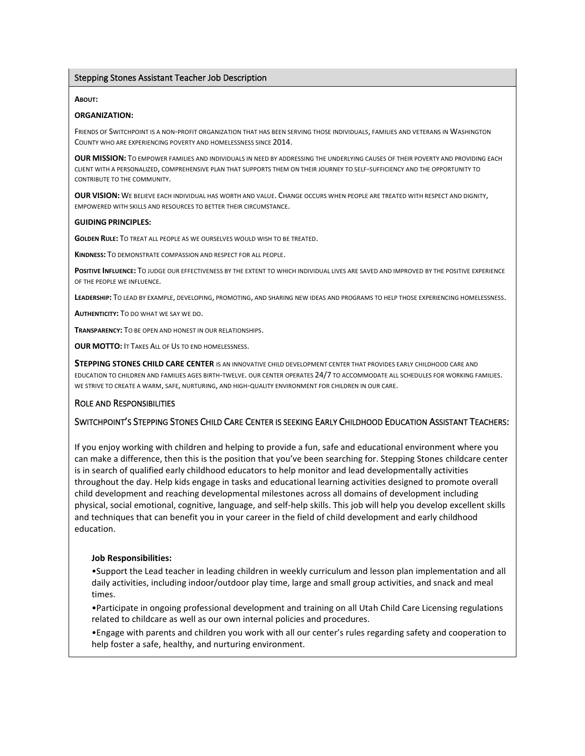### Stepping Stones Assistant Teacher Job Description

#### **ABOUT:**

### **ORGANIZATION:**

FRIENDS OF SWITCHPOINT IS A NON-PROFIT ORGANIZATION THAT HAS BEEN SERVING THOSE INDIVIDUALS, FAMILIES AND VETERANS IN WASHINGTON COUNTY WHO ARE EXPERIENCING POVERTY AND HOMELESSNESS SINCE 2014.

**OUR MISSION:** TO EMPOWER FAMILIES AND INDIVIDUALS IN NEED BY ADDRESSING THE UNDERLYING CAUSES OF THEIR POVERTY AND PROVIDING EACH CLIENT WITH A PERSONALIZED, COMPREHENSIVE PLAN THAT SUPPORTS THEM ON THEIR JOURNEY TO SELF-SUFFICIENCY AND THE OPPORTUNITY TO CONTRIBUTE TO THE COMMUNITY.

**OUR VISION:** WE BELIEVE EACH INDIVIDUAL HAS WORTH AND VALUE. CHANGE OCCURS WHEN PEOPLE ARE TREATED WITH RESPECT AND DIGNITY, EMPOWERED WITH SKILLS AND RESOURCES TO BETTER THEIR CIRCUMSTANCE.

### **GUIDING PRINCIPLES:**

**GOLDEN RULE:** TO TREAT ALL PEOPLE AS WE OURSELVES WOULD WISH TO BE TREATED.

**KINDNESS:** TO DEMONSTRATE COMPASSION AND RESPECT FOR ALL PEOPLE.

**POSITIVE <b>INFLUENCE**: TO JUDGE OUR EFFECTIVENESS BY THE EXTENT TO WHICH INDIVIDUAL LIVES ARE SAVED AND IMPROVED BY THE POSITIVE EXPERIENCE OF THE PEOPLE WE INFLUENCE.

**LEADERSHIP:** TO LEAD BY EXAMPLE, DEVELOPING, PROMOTING, AND SHARING NEW IDEAS AND PROGRAMS TO HELP THOSE EXPERIENCING HOMELESSNESS.

**AUTHENTICITY:** TO DO WHAT WE SAY WE DO.

**TRANSPARENCY:** TO BE OPEN AND HONEST IN OUR RELATIONSHIPS.

**OUR MOTTO:** IT TAKES ALL OF US TO END HOMELESSNESS.

**STEPPING STONES CHILD CARE CENTER** IS AN INNOVATIVE CHILD DEVELOPMENT CENTER THAT PROVIDES EARLY CHILDHOOD CARE AND EDUCATION TO CHILDREN AND FAMILIES AGES BIRTH-TWELVE. OUR CENTER OPERATES 24/7 TO ACCOMMODATE ALL SCHEDULES FOR WORKING FAMILIES. WE STRIVE TO CREATE A WARM, SAFE, NURTURING, AND HIGH-QUALITY ENVIRONMENT FOR CHILDREN IN OUR CARE.

## ROLE AND RESPONSIBILITIES

## SWITCHPOINT'S STEPPING STONES CHILD CARE CENTER IS SEEKING EARLY CHILDHOOD EDUCATION ASSISTANT TEACHERS:

If you enjoy working with children and helping to provide a fun, safe and educational environment where you can make a difference, then this is the position that you've been searching for. Stepping Stones childcare center is in search of qualified early childhood educators to help monitor and lead developmentally activities throughout the day. Help kids engage in tasks and educational learning activities designed to promote overall child development and reaching developmental milestones across all domains of development including physical, social emotional, cognitive, language, and self-help skills. This job will help you develop excellent skills and techniques that can benefit you in your career in the field of child development and early childhood education.

### **Job Responsibilities:**

•Support the Lead teacher in leading children in weekly curriculum and lesson plan implementation and all daily activities, including indoor/outdoor play time, large and small group activities, and snack and meal times.

•Participate in ongoing professional development and training on all Utah Child Care Licensing regulations related to childcare as well as our own internal policies and procedures.

•Engage with parents and children you work with all our center's rules regarding safety and cooperation to help foster a safe, healthy, and nurturing environment.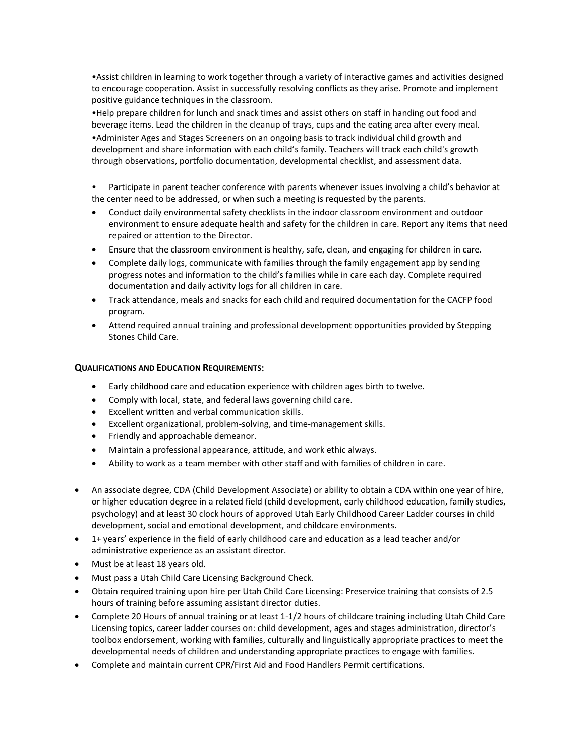•Assist children in learning to work together through a variety of interactive games and activities designed to encourage cooperation. Assist in successfully resolving conflicts as they arise. Promote and implement positive guidance techniques in the classroom.

•Help prepare children for lunch and snack times and assist others on staff in handing out food and beverage items. Lead the children in the cleanup of trays, cups and the eating area after every meal.

•Administer Ages and Stages Screeners on an ongoing basis to track individual child growth and development and share information with each child's family. Teachers will track each child's growth through observations, portfolio documentation, developmental checklist, and assessment data.

• Participate in parent teacher conference with parents whenever issues involving a child's behavior at the center need to be addressed, or when such a meeting is requested by the parents.

- Conduct daily environmental safety checklists in the indoor classroom environment and outdoor environment to ensure adequate health and safety for the children in care. Report any items that need repaired or attention to the Director.
- Ensure that the classroom environment is healthy, safe, clean, and engaging for children in care.
- Complete daily logs, communicate with families through the family engagement app by sending progress notes and information to the child's families while in care each day. Complete required documentation and daily activity logs for all children in care.
- Track attendance, meals and snacks for each child and required documentation for the CACFP food program.
- Attend required annual training and professional development opportunities provided by Stepping Stones Child Care.

## **QUALIFICATIONS AND EDUCATION REQUIREMENTS**:

- Early childhood care and education experience with children ages birth to twelve.
- Comply with local, state, and federal laws governing child care.
- Excellent written and verbal communication skills.
- Excellent organizational, problem-solving, and time-management skills.
- Friendly and approachable demeanor.
- Maintain a professional appearance, attitude, and work ethic always.
- Ability to work as a team member with other staff and with families of children in care.
- An associate degree, CDA (Child Development Associate) or ability to obtain a CDA within one year of hire, or higher education degree in a related field (child development, early childhood education, family studies, psychology) and at least 30 clock hours of approved Utah Early Childhood Career Ladder courses in child development, social and emotional development, and childcare environments.
- 1+ years' experience in the field of early childhood care and education as a lead teacher and/or administrative experience as an assistant director.
- Must be at least 18 years old.
- Must pass a Utah Child Care Licensing Background Check.
- Obtain required training upon hire per Utah Child Care Licensing: Preservice training that consists of 2.5 hours of training before assuming assistant director duties.
- Complete 20 Hours of annual training or at least 1-1/2 hours of childcare training including Utah Child Care Licensing topics, career ladder courses on: child development, ages and stages administration, director's toolbox endorsement, working with families, culturally and linguistically appropriate practices to meet the developmental needs of children and understanding appropriate practices to engage with families.
- Complete and maintain current CPR/First Aid and Food Handlers Permit certifications.